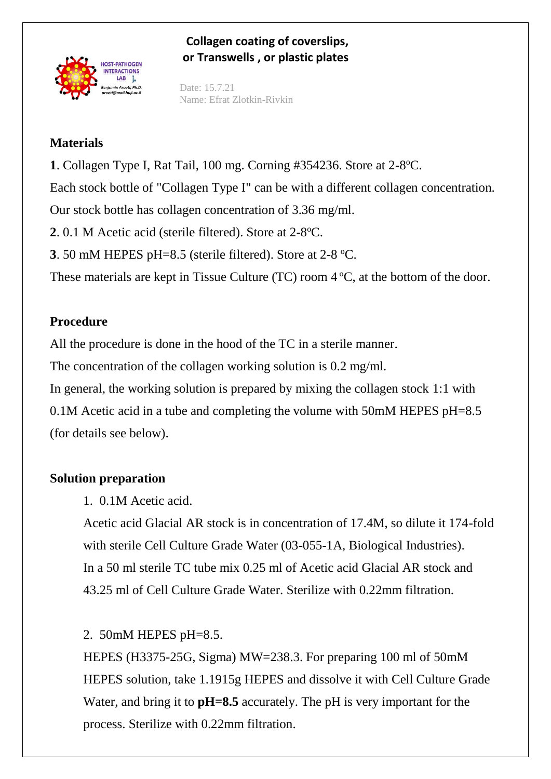

### **Collagen coating of coverslips, or Transwells , or plastic plates**

Date: 15.7.21 Name: Efrat Zlotkin-Rivkin

### **Materials**

1. Collagen Type I, Rat Tail, 100 mg. Corning #354236. Store at 2-8°C. Each stock bottle of "Collagen Type I" can be with a different collagen concentration. Our stock bottle has collagen concentration of 3.36 mg/ml.

2. 0.1 M Acetic acid (sterile filtered). Store at 2-8°C.

**3**. 50 mM HEPES pH=8.5 (sterile filtered). Store at 2-8 °C.

These materials are kept in Tissue Culture (TC) room  $4^{\circ}$ C, at the bottom of the door.

## **Procedure**

All the procedure is done in the hood of the TC in a sterile manner.

The concentration of the collagen working solution is 0.2 mg/ml.

In general, the working solution is prepared by mixing the collagen stock 1:1 with 0.1M Acetic acid in a tube and completing the volume with 50mM HEPES pH=8.5 (for details see below).

## **Solution preparation**

1. 0.1M Acetic acid.

Acetic acid Glacial AR stock is in concentration of 17.4M, so dilute it 174-fold with sterile Cell Culture Grade Water (03-055-1A, Biological Industries). In a 50 ml sterile TC tube mix 0.25 ml of Acetic acid Glacial AR stock and 43.25 ml of Cell Culture Grade Water. Sterilize with 0.22mm filtration.

# 2. 50mM HEPES pH=8.5.

HEPES (H3375-25G, Sigma) MW=238.3. For preparing 100 ml of 50mM HEPES solution, take 1.1915g HEPES and dissolve it with Cell Culture Grade Water, and bring it to **pH=8.5** accurately. The pH is very important for the process. Sterilize with 0.22mm filtration.